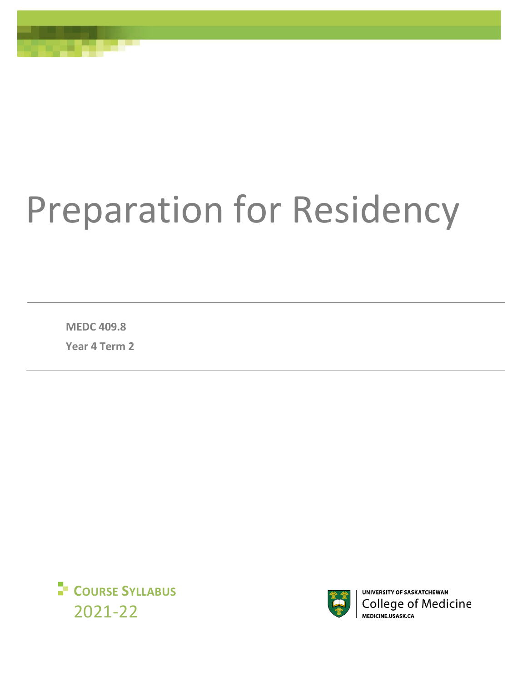# Preparation for Residency

**MEDC 409.8**

**Year 4 Term 2**





UNIVERSITY OF SASKATCHEWAN **College of Medicine** MEDICINE.USASK.CA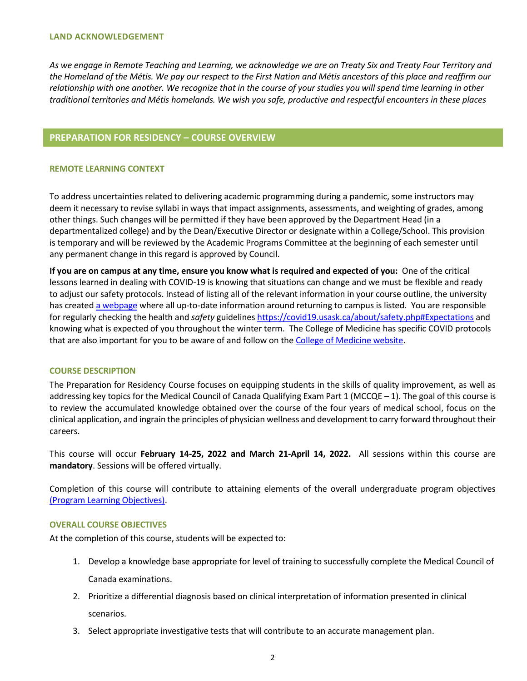*As we engage in Remote Teaching and Learning, we acknowledge we are on Treaty Six and Treaty Four Territory and the Homeland of the Métis. We pay our respect to the First Nation and Métis ancestors of this place and reaffirm our relationship with one another. We recognize that in the course of your studies you will spend time learning in other traditional territories and Métis homelands. We wish you safe, productive and respectful encounters in these places*

# **PREPARATION FOR RESIDENCY – COURSE OVERVIEW**

#### **REMOTE LEARNING CONTEXT**

To address uncertainties related to delivering academic programming during a pandemic, some instructors may deem it necessary to revise syllabi in ways that impact assignments, assessments, and weighting of grades, among other things. Such changes will be permitted if they have been approved by the Department Head (in a departmentalized college) and by the Dean/Executive Director or designate within a College/School. This provision is temporary and will be reviewed by the Academic Programs Committee at the beginning of each semester until any permanent change in this regard is approved by Council.

**If you are on campus at any time, ensure you know what is required and expected of you:** One of the critical lessons learned in dealing with COVID-19 is knowing that situations can change and we must be flexible and ready to adjust our safety protocols. Instead of listing all of the relevant information in your course outline, the university has create[d a webpage](https://covid19.usask.ca/students.php#Oncampusessentials) where all up-to-date information around returning to campus is listed. You are responsible for regularly checking the health and *safety* guidelines<https://covid19.usask.ca/about/safety.php#Expectations> and knowing what is expected of you throughout the winter term. The College of Medicine has specific COVID protocols that are also important for you to be aware of and follow on th[e College of Medicine website.](https://medicine.usask.ca/students/covid19.php)

## **COURSE DESCRIPTION**

The Preparation for Residency Course focuses on equipping students in the skills of quality improvement, as well as addressing key topics for the Medical Council of Canada Qualifying Exam Part 1 (MCCQE – 1). The goal of this course is to review the accumulated knowledge obtained over the course of the four years of medical school, focus on the clinical application, and ingrain the principles of physician wellness and development to carry forward throughout their careers.

This course will occur **February 14-25, 2022 and March 21-April 14, 2022.** All sessions within this course are **mandatory**. Sessions will be offered virtually.

Completion of this course will contribute to attaining elements of the overall undergraduate program objectives [\(Program Learning Objectives\).](https://medicine.usask.ca/students/undergraduate/curriculum-schedules-objectives.php)

#### **OVERALL COURSE OBJECTIVES**

At the completion of this course, students will be expected to:

- 1. Develop a knowledge base appropriate for level of training to successfully complete the Medical Council of Canada examinations.
- 2. Prioritize a differential diagnosis based on clinical interpretation of information presented in clinical scenarios.
- 3. Select appropriate investigative tests that will contribute to an accurate management plan.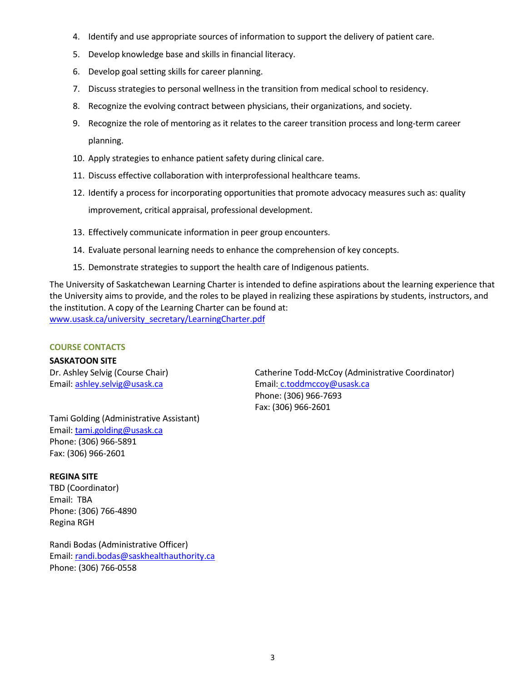- 4. Identify and use appropriate sources of information to support the delivery of patient care.
- 5. Develop knowledge base and skills in financial literacy.
- 6. Develop goal setting skills for career planning.
- 7. Discuss strategies to personal wellness in the transition from medical school to residency.
- 8. Recognize the evolving contract between physicians, their organizations, and society.
- 9. Recognize the role of mentoring as it relates to the career transition process and long-term career planning.
- 10. Apply strategies to enhance patient safety during clinical care.
- 11. Discuss effective collaboration with interprofessional healthcare teams.
- 12. Identify a process for incorporating opportunities that promote advocacy measures such as: quality improvement, critical appraisal, professional development.
- 13. Effectively communicate information in peer group encounters.
- 14. Evaluate personal learning needs to enhance the comprehension of key concepts.
- 15. Demonstrate strategies to support the health care of Indigenous patients.

The University of Saskatchewan Learning Charter is intended to define aspirations about the learning experience that the University aims to provide, and the roles to be played in realizing these aspirations by students, instructors, and the institution. A copy of the Learning Charter can be found at: www.usask.ca/university\_secretary/LearningCharter.pdf

## **COURSE CONTACTS**

#### **SASKATOON SITE**

Email: ashley.selvig@usask.ca Email: c.toddmccoy@usask.ca

Dr. Ashley Selvig (Course Chair) Catherine Todd-McCoy (Administrative Coordinator) Phone: (306) 966-7693 Fax: (306) 966-2601

Tami Golding (Administrative Assistant) Email: [tami.golding@usask.ca](mailto:tami.golding@usask.ca) Phone: (306) 966-5891 Fax: (306) 966-2601

## **REGINA SITE**

TBD (Coordinator) Email: TBA Phone: (306) 766-4890 Regina RGH

Randi Bodas (Administrative Officer) Email: [randi.bodas@saskhealthauthority.ca](mailto:Jeanette.bellavance@saskhealthauthority.ca) Phone: (306) 766-0558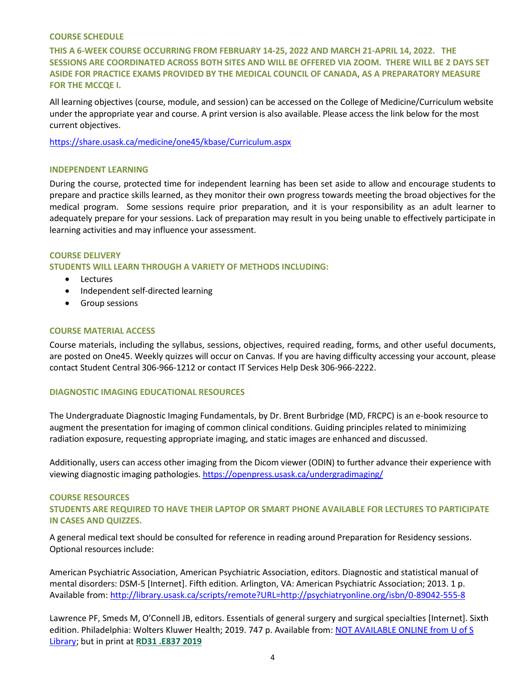#### **COURSE SCHEDULE**

**THIS A 6-WEEK COURSE OCCURRING FROM FEBRUARY 14-25, 2022 AND MARCH 21-APRIL 14, 2022. THE SESSIONS ARE COORDINATED ACROSS BOTH SITES AND WILL BE OFFERED VIA ZOOM. THERE WILL BE 2 DAYS SET ASIDE FOR PRACTICE EXAMS PROVIDED BY THE MEDICAL COUNCIL OF CANADA, AS A PREPARATORY MEASURE FOR THE MCCQE I.** 

All learning objectives (course, module, and session) can be accessed on the College of Medicine/Curriculum website under the appropriate year and course. A print version is also available. Please access the link below for the most current objectives.

https://share.usask.ca/medicine/one45/kbase/Curriculum.aspx

## **INDEPENDENT LEARNING**

During the course, protected time for independent learning has been set aside to allow and encourage students to prepare and practice skills learned, as they monitor their own progress towards meeting the broad objectives for the medical program. Some sessions require prior preparation, and it is your responsibility as an adult learner to adequately prepare for your sessions. Lack of preparation may result in you being unable to effectively participate in learning activities and may influence your assessment.

#### **COURSE DELIVERY**

**STUDENTS WILL LEARN THROUGH A VARIETY OF METHODS INCLUDING:**

- Lectures
- Independent self-directed learning
- Group sessions

## **COURSE MATERIAL ACCESS**

Course materials, including the syllabus, sessions, objectives, required reading, forms, and other useful documents, are posted on One45. Weekly quizzes will occur on Canvas. If you are having difficulty accessing your account, please contact Student Central 306-966-1212 or contact IT Services Help Desk 306-966-2222.

## **DIAGNOSTIC IMAGING EDUCATIONAL RESOURCES**

The Undergraduate Diagnostic Imaging Fundamentals, by Dr. Brent Burbridge (MD, FRCPC) is an e-book resource to augment the presentation for imaging of common clinical conditions. Guiding principles related to minimizing radiation exposure, requesting appropriate imaging, and static images are enhanced and discussed.

Additionally, users can access other imaging from the Dicom viewer (ODIN) to further advance their experience with viewing diagnostic imaging pathologies[. https://openpress.usask.ca/undergradimaging/](https://openpress.usask.ca/undergradimaging/)

## **COURSE RESOURCES**

**STUDENTS ARE REQUIRED TO HAVE THEIR LAPTOP OR SMART PHONE AVAILABLE FOR LECTURES TO PARTICIPATE IN CASES AND QUIZZES.**

A general medical text should be consulted for reference in reading around Preparation for Residency sessions. Optional resources include:

American Psychiatric Association, American Psychiatric Association, editors. Diagnostic and statistical manual of mental disorders: DSM-5 [Internet]. Fifth edition. Arlington, VA: American Psychiatric Association; 2013. 1 p. Available from:<http://library.usask.ca/scripts/remote?URL=http://psychiatryonline.org/isbn/0-89042-555-8>

Lawrence PF, Smeds M, O'Connell JB, editors. Essentials of general surgery and surgical specialties [Internet]. Sixth edition. Philadelphia: Wolters Kluwer Health; 2019. 747 p. Available from[: NOT AVAILABLE ONLINE from U of S](https://doi.org/NOT%20AVAILABLE%20ONLINE%20from%20U%20of%20S%20Library)  [Library;](https://doi.org/NOT%20AVAILABLE%20ONLINE%20from%20U%20of%20S%20Library) but in print at **[RD31 .E837 2019](https://sundog.usask.ca/search~S8?/cRD31+.E837+2019/crd+++31+e837+2019/-3,-1,,E/browse)**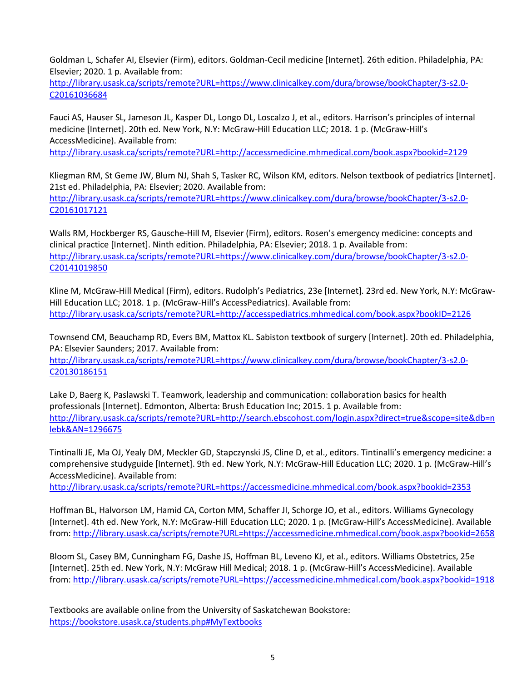Goldman L, Schafer AI, Elsevier (Firm), editors. Goldman-Cecil medicine [Internet]. 26th edition. Philadelphia, PA: Elsevier; 2020. 1 p. Available from:

[http://library.usask.ca/scripts/remote?URL=https://www.clinicalkey.com/dura/browse/bookChapter/3-s2.0-](http://library.usask.ca/scripts/remote?URL=https://www.clinicalkey.com/dura/browse/bookChapter/3-s2.0-C20161036684) [C20161036684](http://library.usask.ca/scripts/remote?URL=https://www.clinicalkey.com/dura/browse/bookChapter/3-s2.0-C20161036684)

Fauci AS, Hauser SL, Jameson JL, Kasper DL, Longo DL, Loscalzo J, et al., editors. Harrison's principles of internal medicine [Internet]. 20th ed. New York, N.Y: McGraw-Hill Education LLC; 2018. 1 p. (McGraw-Hill's AccessMedicine). Available from:

<http://library.usask.ca/scripts/remote?URL=http://accessmedicine.mhmedical.com/book.aspx?bookid=2129>

Kliegman RM, St Geme JW, Blum NJ, Shah S, Tasker RC, Wilson KM, editors. Nelson textbook of pediatrics [Internet]. 21st ed. Philadelphia, PA: Elsevier; 2020. Available from:

[http://library.usask.ca/scripts/remote?URL=https://www.clinicalkey.com/dura/browse/bookChapter/3-s2.0-](http://library.usask.ca/scripts/remote?URL=https://www.clinicalkey.com/dura/browse/bookChapter/3-s2.0-C20161017121) [C20161017121](http://library.usask.ca/scripts/remote?URL=https://www.clinicalkey.com/dura/browse/bookChapter/3-s2.0-C20161017121)

Walls RM, Hockberger RS, Gausche-Hill M, Elsevier (Firm), editors. Rosen's emergency medicine: concepts and clinical practice [Internet]. Ninth edition. Philadelphia, PA: Elsevier; 2018. 1 p. Available from: [http://library.usask.ca/scripts/remote?URL=https://www.clinicalkey.com/dura/browse/bookChapter/3-s2.0-](http://library.usask.ca/scripts/remote?URL=https://www.clinicalkey.com/dura/browse/bookChapter/3-s2.0-C20141019850) [C20141019850](http://library.usask.ca/scripts/remote?URL=https://www.clinicalkey.com/dura/browse/bookChapter/3-s2.0-C20141019850)

Kline M, McGraw-Hill Medical (Firm), editors. Rudolph's Pediatrics, 23e [Internet]. 23rd ed. New York, N.Y: McGraw-Hill Education LLC; 2018. 1 p. (McGraw-Hill's AccessPediatrics). Available from: <http://library.usask.ca/scripts/remote?URL=http://accesspediatrics.mhmedical.com/book.aspx?bookID=2126>

Townsend CM, Beauchamp RD, Evers BM, Mattox KL. Sabiston textbook of surgery [Internet]. 20th ed. Philadelphia, PA: Elsevier Saunders; 2017. Available from:

[http://library.usask.ca/scripts/remote?URL=https://www.clinicalkey.com/dura/browse/bookChapter/3-s2.0-](http://library.usask.ca/scripts/remote?URL=https://www.clinicalkey.com/dura/browse/bookChapter/3-s2.0-C20130186151) [C20130186151](http://library.usask.ca/scripts/remote?URL=https://www.clinicalkey.com/dura/browse/bookChapter/3-s2.0-C20130186151)

Lake D, Baerg K, Paslawski T. Teamwork, leadership and communication: collaboration basics for health professionals [Internet]. Edmonton, Alberta: Brush Education Inc; 2015. 1 p. Available from: [http://library.usask.ca/scripts/remote?URL=http://search.ebscohost.com/login.aspx?direct=true&scope=site&db=n](http://library.usask.ca/scripts/remote?URL=http://search.ebscohost.com/login.aspx?direct=true&scope=site&db=nlebk&AN=1296675) [lebk&AN=1296675](http://library.usask.ca/scripts/remote?URL=http://search.ebscohost.com/login.aspx?direct=true&scope=site&db=nlebk&AN=1296675)

Tintinalli JE, Ma OJ, Yealy DM, Meckler GD, Stapczynski JS, Cline D, et al., editors. Tintinalli's emergency medicine: a comprehensive studyguide [Internet]. 9th ed. New York, N.Y: McGraw-Hill Education LLC; 2020. 1 p. (McGraw-Hill's AccessMedicine). Available from:

<http://library.usask.ca/scripts/remote?URL=https://accessmedicine.mhmedical.com/book.aspx?bookid=2353>

Hoffman BL, Halvorson LM, Hamid CA, Corton MM, Schaffer JI, Schorge JO, et al., editors. Williams Gynecology [Internet]. 4th ed. New York, N.Y: McGraw-Hill Education LLC; 2020. 1 p. (McGraw-Hill's AccessMedicine). Available from:<http://library.usask.ca/scripts/remote?URL=https://accessmedicine.mhmedical.com/book.aspx?bookid=2658>

Bloom SL, Casey BM, Cunningham FG, Dashe JS, Hoffman BL, Leveno KJ, et al., editors. Williams Obstetrics, 25e [Internet]. 25th ed. New York, N.Y: McGraw Hill Medical; 2018. 1 p. (McGraw-Hill's AccessMedicine). Available from:<http://library.usask.ca/scripts/remote?URL=https://accessmedicine.mhmedical.com/book.aspx?bookid=1918>

Textbooks are available online from the University of Saskatchewan Bookstore: <https://bookstore.usask.ca/students.php#MyTextbooks>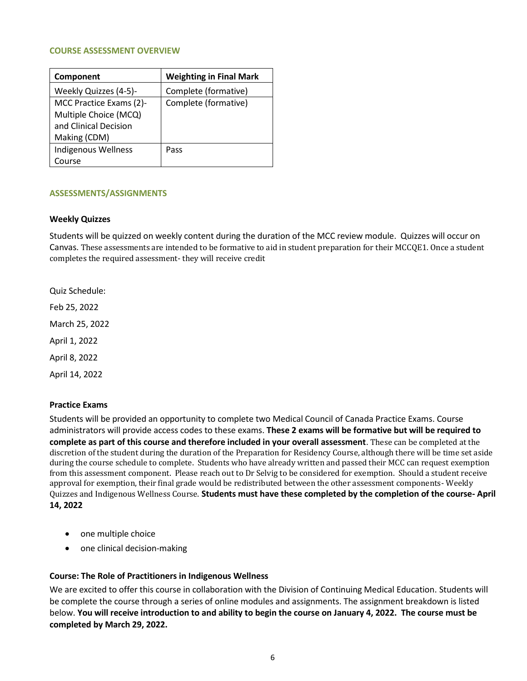#### **COURSE ASSESSMENT OVERVIEW**

| Component                  | <b>Weighting in Final Mark</b> |
|----------------------------|--------------------------------|
| Weekly Quizzes (4-5)-      | Complete (formative)           |
| MCC Practice Exams (2)-    | Complete (formative)           |
| Multiple Choice (MCQ)      |                                |
| and Clinical Decision      |                                |
| Making (CDM)               |                                |
| <b>Indigenous Wellness</b> | Pass                           |
| course.                    |                                |

## **ASSESSMENTS/ASSIGNMENTS**

## **Weekly Quizzes**

Students will be quizzed on weekly content during the duration of the MCC review module. Quizzes will occur on Canvas. These assessments are intended to be formative to aid in student preparation for their MCCQE1. Once a student completes the required assessment- they will receive credit

Quiz Schedule:

Feb 25, 2022

March 25, 2022

April 1, 2022

April 8, 2022

April 14, 2022

# **Practice Exams**

Students will be provided an opportunity to complete two Medical Council of Canada Practice Exams. Course administrators will provide access codes to these exams. **These 2 exams will be formative but will be required to complete as part of this course and therefore included in your overall assessment**. These can be completed at the discretion of the student during the duration of the Preparation for Residency Course, although there will be time set aside during the course schedule to complete. Students who have already written and passed their MCC can request exemption from this assessment component. Please reach out to Dr Selvig to be considered for exemption. Should a student receive approval for exemption, their final grade would be redistributed between the other assessment components- Weekly Quizzes and Indigenous Wellness Course. **Students must have these completed by the completion of the course- April 14, 2022**

- one multiple choice
- one clinical decision-making

## **Course: The Role of Practitioners in Indigenous Wellness**

We are excited to offer this course in collaboration with the Division of Continuing Medical Education. Students will be complete the course through a series of online modules and assignments. The assignment breakdown is listed below. **You will receive introduction to and ability to begin the course on January 4, 2022. The course must be completed by March 29, 2022.**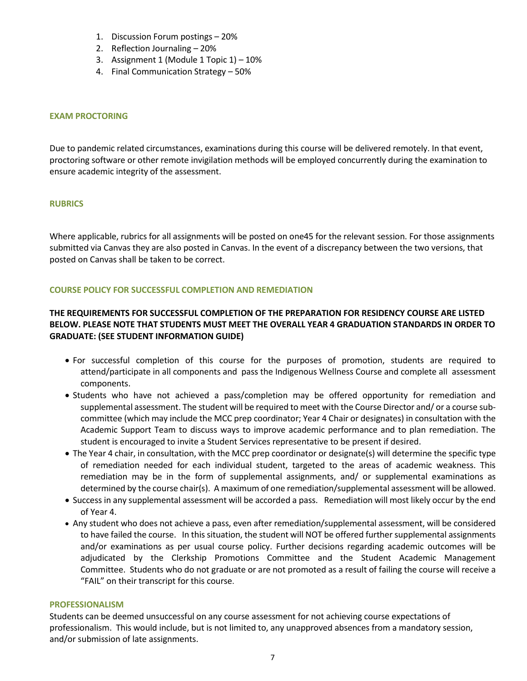- 1. Discussion Forum postings 20%
- 2. Reflection Journaling 20%
- 3. Assignment 1 (Module 1 Topic 1) 10%
- 4. Final Communication Strategy 50%

## **EXAM PROCTORING**

Due to pandemic related circumstances, examinations during this course will be delivered remotely. In that event, proctoring software or other remote invigilation methods will be employed concurrently during the examination to ensure academic integrity of the assessment.

## **RUBRICS**

Where applicable, rubrics for all assignments will be posted on one45 for the relevant session. For those assignments submitted via Canvas they are also posted in Canvas. In the event of a discrepancy between the two versions, that posted on Canvas shall be taken to be correct.

## **COURSE POLICY FOR SUCCESSFUL COMPLETION AND REMEDIATION**

# **THE REQUIREMENTS FOR SUCCESSFUL COMPLETION OF THE PREPARATION FOR RESIDENCY COURSE ARE LISTED BELOW. PLEASE NOTE THAT STUDENTS MUST MEET THE OVERALL YEAR 4 GRADUATION STANDARDS IN ORDER TO GRADUATE: (SEE STUDENT INFORMATION GUIDE)**

- For successful completion of this course for the purposes of promotion, students are required to attend/participate in all components and pass the Indigenous Wellness Course and complete all assessment components.
- Students who have not achieved a pass/completion may be offered opportunity for remediation and supplemental assessment. The student will be required to meet with the Course Director and/ or a course subcommittee (which may include the MCC prep coordinator; Year 4 Chair or designates) in consultation with the Academic Support Team to discuss ways to improve academic performance and to plan remediation. The student is encouraged to invite a Student Services representative to be present if desired.
- The Year 4 chair, in consultation, with the MCC prep coordinator or designate(s) will determine the specific type of remediation needed for each individual student, targeted to the areas of academic weakness. This remediation may be in the form of supplemental assignments, and/ or supplemental examinations as determined by the course chair(s). A maximum of one remediation/supplemental assessment will be allowed.
- Success in any supplemental assessment will be accorded a pass. Remediation will most likely occur by the end of Year 4.
- Any student who does not achieve a pass, even after remediation/supplemental assessment, will be considered to have failed the course. In this situation, the student will NOT be offered further supplemental assignments and/or examinations as per usual course policy. Further decisions regarding academic outcomes will be adjudicated by the Clerkship Promotions Committee and the Student Academic Management Committee. Students who do not graduate or are not promoted as a result of failing the course will receive a "FAIL" on their transcript for this course.

## **PROFESSIONALISM**

Students can be deemed unsuccessful on any course assessment for not achieving course expectations of professionalism. This would include, but is not limited to, any unapproved absences from a mandatory session, and/or submission of late assignments.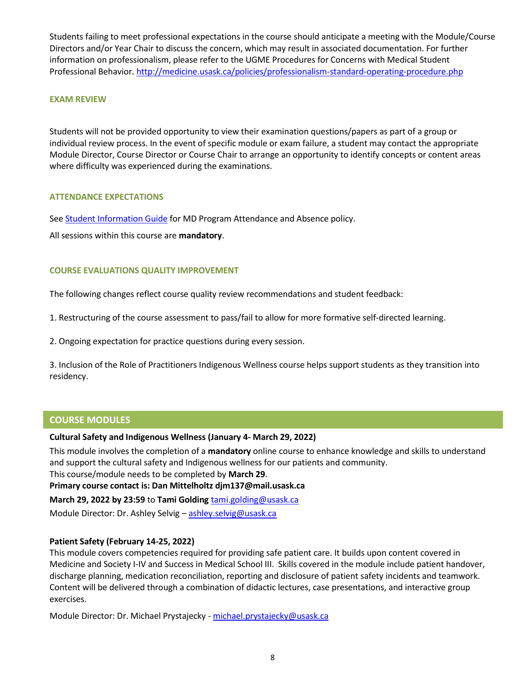Students failing to meet professional expectations in the course should anticipate a meeting with the Module/Course Directors and/or Year Chair to discuss the concern, which may result in associated documentation. For further information on professionalism, please refer to the UGME Procedures for Concerns with Medical Student Professional Behavior. <http://medicine.usask.ca/policies/professionalism-standard-operating-procedure.php>

## **EXAM REVIEW**

Students will not be provided opportunity to view their examination questions/papers as part of a group or individual review process. In the event of specific module or exam failure, a student may contact the appropriate Module Director, Course Director or Course Chair to arrange an opportunity to identify concepts or content areas where difficulty was experienced during the examinations.

## **ATTENDANCE EXPECTATIONS**

See [Student Information Guide](https://medicine.usask.ca/students/undergraduate/curriculum-schedules-objectives.php) for MD Program Attendance and Absence policy.

All sessions within this course are **mandatory**.

## **COURSE EVALUATIONS QUALITY IMPROVEMENT**

The following changes reflect course quality review recommendations and student feedback:

1. Restructuring of the course assessment to pass/fail to allow for more formative self-directed learning.

2. Ongoing expectation for practice questions during every session.

3. Inclusion of the Role of Practitioners Indigenous Wellness course helps support students as they transition into residency.

# **COURSE MODULES**

# **Cultural Safety and Indigenous Wellness (January 4- March 29, 2022)**

This module involves the completion of a **mandatory** online course to enhance knowledge and skills to understand and support the cultural safety and Indigenous wellness for our patients and community. This course/module needs to be completed by **March 29**.

**Primary course contact is: Dan Mittelholtz djm137@mail.usask.ca**

**March 29, 2022 by 23:59** to **Tami Golding** [tami.golding@usask.ca](mailto:tami.golding@usask.ca)

Module Director: Dr. Ashley Selvig - [ashley.selvig@usask.ca](mailto:ashley.selvig@usask.ca)

# **Patient Safety (February 14-25, 2022)**

This module covers competencies required for providing safe patient care. It builds upon content covered in Medicine and Society I-IV and Success in Medical School III. Skills covered in the module include patient handover, discharge planning, medication reconciliation, reporting and disclosure of patient safety incidents and teamwork. Content will be delivered through a combination of didactic lectures, case presentations, and interactive group exercises.

Module Director: Dr. Michael Prystajecky - [michael.prystajecky@usask.ca](mailto:michael.prystajecky@usask.ca)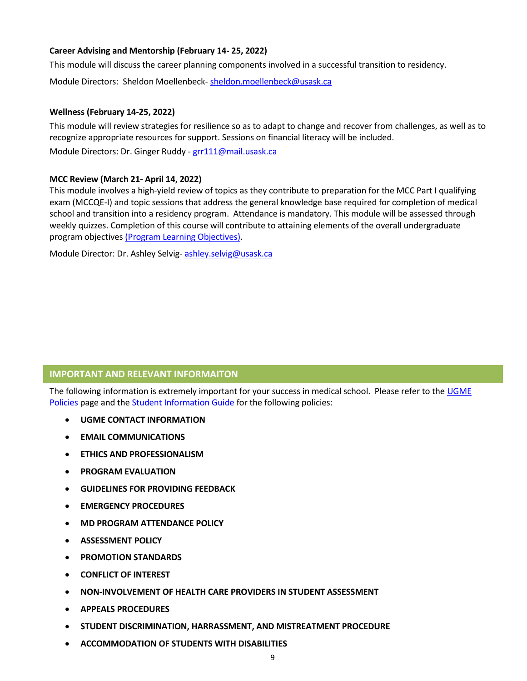## **Career Advising and Mentorship (February 14- 25, 2022)**

This module will discuss the career planning components involved in a successful transition to residency.

Module Directors: Sheldon Moellenbeck- [sheldon.moellenbeck@usask.ca](mailto:sheldon.moellenbeck@usask.ca) 

## **Wellness (February 14-25, 2022)**

This module will review strategies for resilience so as to adapt to change and recover from challenges, as well as to recognize appropriate resources for support. Sessions on financial literacy will be included. Module Directors: Dr. Ginger Ruddy - [grr111@mail.usask.ca](mailto:grr111@mail.usask.ca)

## **MCC Review (March 21- April 14, 2022)**

This module involves a high-yield review of topics as they contribute to preparation for the MCC Part I qualifying exam (MCCQE-I) and topic sessions that address the general knowledge base required for completion of medical school and transition into a residency program. Attendance is mandatory. This module will be assessed through weekly quizzes. Completion of this course will contribute to attaining elements of the overall undergraduate program objectives [\(Program Learning Objectives\)](https://medicine.usask.ca/students/undergraduate/curriculum-schedules-objectives.php).

Module Director: Dr. Ashley Selvig- [ashley.selvig@usask.ca](mailto:ashley.selvig@usask.ca)

# **IMPORTANT AND RELEVANT INFORMAITON**

The following information is extremely important for your success in medical school. Please refer to th[e UGME](http://medicine.usask.ca/students/undergraduate/policies.php)  [Policies](http://medicine.usask.ca/students/undergraduate/policies.php) page and th[e Student Information Guide](https://medicine.usask.ca/students/undergraduate/curriculum-schedules-objectives.php) for the following policies:

- **UGME CONTACT INFORMATION**
- **EMAIL COMMUNICATIONS**
- **ETHICS AND PROFESSIONALISM**
- **PROGRAM EVALUATION**
- **GUIDELINES FOR PROVIDING FEEDBACK\**
- **EMERGENCY PROCEDURES**
- **MD PROGRAM ATTENDANCE POLICY**
- **ASSESSMENT POLICY**
- **PROMOTION STANDARDS**
- **CONFLICT OF INTEREST**
- **NON-INVOLVEMENT OF HEALTH CARE PROVIDERS IN STUDENT ASSESSMENT**
- **APPEALS PROCEDURES**
- **STUDENT DISCRIMINATION, HARRASSMENT, AND MISTREATMENT PROCEDURE**
- **ACCOMMODATION OF STUDENTS WITH DISABILITIES**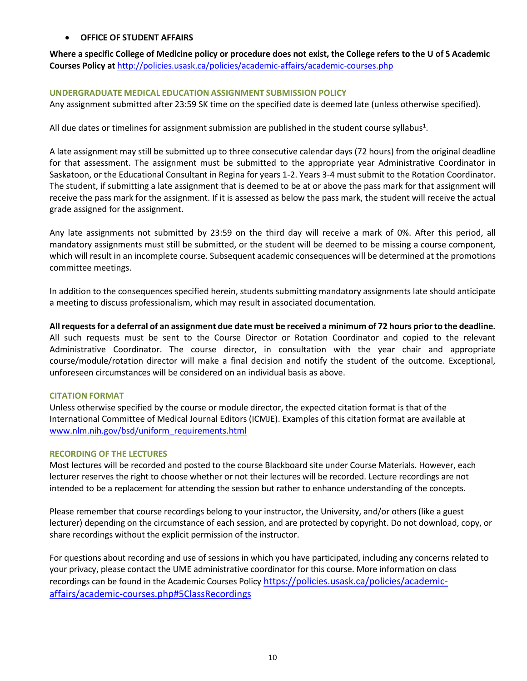# • **OFFICE OF STUDENT AFFAIRS**

**Where a specific College of Medicine policy or procedure does not exist, the College refers to the U of S Academic Courses Policy at** <http://policies.usask.ca/policies/academic-affairs/academic-courses.php>

# **UNDERGRADUATE MEDICAL EDUCATION ASSIGNMENT SUBMISSION POLICY**

Any assignment submitted after 23:59 SK time on the specified date is deemed late (unless otherwise specified).

All due dates or timelines for assignment submission are published in the student course syllabus<sup>1</sup>.

A late assignment may still be submitted up to three consecutive calendar days (72 hours) from the original deadline for that assessment. The assignment must be submitted to the appropriate year Administrative Coordinator in Saskatoon, or the Educational Consultant in Regina for years 1-2. Years 3-4 must submit to the Rotation Coordinator. The student, if submitting a late assignment that is deemed to be at or above the pass mark for that assignment will receive the pass mark for the assignment. If it is assessed as below the pass mark, the student will receive the actual grade assigned for the assignment.

Any late assignments not submitted by 23:59 on the third day will receive a mark of 0%. After this period, all mandatory assignments must still be submitted, or the student will be deemed to be missing a course component, which will result in an incomplete course. Subsequent academic consequences will be determined at the promotions committee meetings.

In addition to the consequences specified herein, students submitting mandatory assignments late should anticipate a meeting to discuss professionalism, which may result in associated documentation.

**All requests for a deferral of an assignment due date must be received a minimum of 72 hours prior to the deadline.** All such requests must be sent to the Course Director or Rotation Coordinator and copied to the relevant Administrative Coordinator. The course director, in consultation with the year chair and appropriate course/module/rotation director will make a final decision and notify the student of the outcome. Exceptional, unforeseen circumstances will be considered on an individual basis as above.

# **CITATION FORMAT**

Unless otherwise specified by the course or module director, the expected citation format is that of the International Committee of Medical Journal Editors (ICMJE). Examples of this citation format are available at [www.nlm.nih.gov/bsd/uniform\\_requirements.html](http://www.nlm.nih.gov/bsd/uniform_requirements.html)

# **RECORDING OF THE LECTURES**

Most lectures will be recorded and posted to the course Blackboard site under Course Materials. However, each lecturer reserves the right to choose whether or not their lectures will be recorded. Lecture recordings are not intended to be a replacement for attending the session but rather to enhance understanding of the concepts.

Please remember that course recordings belong to your instructor, the University, and/or others (like a guest lecturer) depending on the circumstance of each session, and are protected by copyright. Do not download, copy, or share recordings without the explicit permission of the instructor.

For questions about recording and use of sessions in which you have participated, including any concerns related to your privacy, please contact the UME administrative coordinator for this course. More information on class recordings can be found in the Academic Courses Policy [https://policies.usask.ca/policies/academic](https://policies.usask.ca/policies/academic-affairs/academic-courses.php#5ClassRecordings)[affairs/academic-courses.php#5ClassRecordings](https://policies.usask.ca/policies/academic-affairs/academic-courses.php#5ClassRecordings)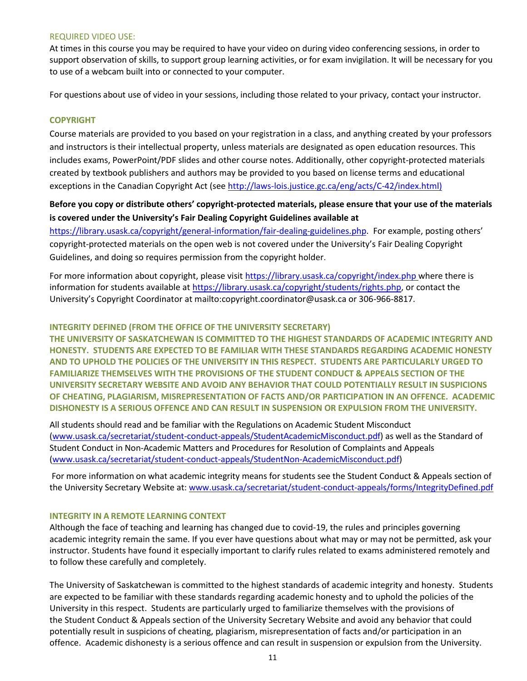#### REQUIRED VIDEO USE:

At times in this course you may be required to have your video on during video conferencing sessions, in order to support observation of skills, to support group learning activities, or for exam invigilation. It will be necessary for you to use of a webcam built into or connected to your computer.

For questions about use of video in your sessions, including those related to your privacy, contact your instructor.

## **COPYRIGHT**

Course materials are provided to you based on your registration in a class, and anything created by your professors and instructors is their intellectual property, unless materials are designated as open education resources. This includes exams, PowerPoint/PDF slides and other course notes. Additionally, other copyright-protected materials created by textbook publishers and authors may be provided to you based on license terms and educational exceptions in the Canadian Copyright Act (se[e http://laws-lois.justice.gc.ca/eng/acts/C-42/index.html\)](http://laws-lois.justice.gc.ca/eng/acts/C-42/index.html))

# **Before you copy or distribute others' copyright-protected materials, please ensure that your use of the materials is covered under the University's Fair Dealing Copyright Guidelines available at**

[https://library.usask.ca/copyright/general-information/fair-dealing-guidelines.php.](https://library.usask.ca/copyright/general-information/fair-dealing-guidelines.php)For example, posting others' copyright-protected materials on the open web is not covered under the University's Fair Dealing Copyright Guidelines, and doing so requires permission from the copyright holder.

For more information about copyright, please visit<https://library.usask.ca/copyright/index.php> where there is information for students available a[t https://library.usask.ca/copyright/students/rights.php,](https://library.usask.ca/copyright/students/rights.php) or contact the University's Copyright Coordinator at mailto:copyright.coordinator@usask.ca or 306-966-8817.

## **INTEGRITY DEFINED (FROM THE OFFICE OF THE UNIVERSITY SECRETARY)**

**THE UNIVERSITY OF SASKATCHEWAN IS COMMITTED TO THE HIGHEST STANDARDS OF ACADEMIC INTEGRITY AND HONESTY. STUDENTS ARE EXPECTED TO BE FAMILIAR WITH THESE STANDARDS REGARDING ACADEMIC HONESTY AND TO UPHOLD THE POLICIES OF THE UNIVERSITY IN THIS RESPECT. STUDENTS ARE PARTICULARLY URGED TO FAMILIARIZE THEMSELVES WITH THE PROVISIONS OF THE STUDENT CONDUCT & APPEALS SECTION OF THE UNIVERSITY SECRETARY WEBSITE AND AVOID ANY BEHAVIOR THAT COULD POTENTIALLY RESULT IN SUSPICIONS OF CHEATING, PLAGIARISM, MISREPRESENTATION OF FACTS AND/OR PARTICIPATION IN AN OFFENCE. ACADEMIC DISHONESTY IS A SERIOUS OFFENCE AND CAN RESULT IN SUSPENSION OR EXPULSION FROM THE UNIVERSITY.**

All students should read and be familiar with the Regulations on Academic Student Misconduct [\(www.usask.ca/secretariat/student-conduct-appeals/StudentAcademicMisconduct.pdf\)](http://www.usask.ca/secretariat/student-conduct-appeals/StudentAcademicMisconduct.pdf) as well as the Standard of Student Conduct in Non-Academic Matters and Procedures for Resolution of Complaints and Appeals [\(www.usask.ca/secretariat/student-conduct-appeals/StudentNon-AcademicMisconduct.pdf\)](http://www.usask.ca/secretariat/student-conduct-appeals/StudentNon-AcademicMisconduct.pdf)

For more information on what academic integrity means for students see the Student Conduct & Appeals section of the University Secretary Website at[: www.usask.ca/secretariat/student-conduct-appeals/forms/IntegrityDefined.pdf](http://www.usask.ca/secretariat/student-conduct-appeals/forms/IntegrityDefined.pdf)

## **INTEGRITY IN A REMOTE LEARNING CONTEXT**

Although the face of teaching and learning has changed due to covid-19, the rules and principles governing academic integrity remain the same. If you ever have questions about what may or may not be permitted, ask your instructor. Students have found it especially important to clarify rules related to exams administered remotely and to follow these carefully and completely.

The University of Saskatchewan is committed to the highest standards of academic integrity and honesty. Students are expected to be familiar with these standards regarding academic honesty and to uphold the policies of the University in this respect. Students are particularly urged to familiarize themselves with the provisions of the Student Conduct & Appeals section of the University Secretary Website and avoid any behavior that could potentially result in suspicions of cheating, plagiarism, misrepresentation of facts and/or participation in an offence. Academic dishonesty is a serious offence and can result in suspension or expulsion from the University.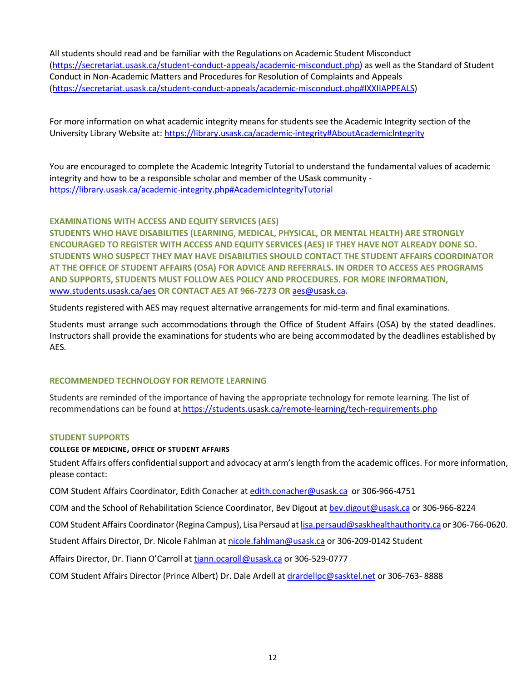All students should read and be familiar with the Regulations on Academic Student Misconduct [\(https://secretariat.usask.ca/student-conduct-appeals/academic-misconduct.php\)](https://secretariat.usask.ca/student-conduct-appeals/academic-misconduct.php) as well as the Standard of Student Conduct in Non-Academic Matters and Procedures for Resolution of Complaints and Appeals [\(https://secretariat.usask.ca/student-conduct-appeals/academic-misconduct.php#IXXIIAPPEALS\)](https://secretariat.usask.ca/student-conduct-appeals/academic-misconduct.php#IXXIIAPPEALS)

For more information on what academic integrity means for students see the Academic Integrity section of the University Library Website at:<https://library.usask.ca/academic-integrity#AboutAcademicIntegrity>

You are encouraged to complete the Academic Integrity Tutorial to understand the fundamental values of academic integrity and how to be a responsible scholar and member of the USask community <https://library.usask.ca/academic-integrity.php#AcademicIntegrityTutorial>

# **EXAMINATIONS WITH ACCESS AND EQUITY SERVICES (AES)**

**STUDENTS WHO HAVE DISABILITIES (LEARNING, MEDICAL, PHYSICAL, OR MENTAL HEALTH) ARE STRONGLY ENCOURAGED TO REGISTER WITH ACCESS AND EQUITY SERVICES (AES) IF THEY HAVE NOT ALREADY DONE SO. STUDENTS WHO SUSPECT THEY MAY HAVE DISABILITIES SHOULD CONTACT THE STUDENT AFFAIRS COORDINATOR AT THE OFFICE OF STUDENT AFFAIRS (OSA) FOR ADVICE AND REFERRALS. IN ORDER TO ACCESS AES PROGRAMS AND SUPPORTS, STUDENTS MUST FOLLOW AES POLICY AND PROCEDURES. FOR MORE INFORMATION,** [www.students.usask.ca/aes](http://www.students.usask.ca/aes) **OR CONTACT AES AT 966-7273 OR** [aes@usask.ca](mailto:aes@usask.ca)**.**

Students registered with AES may request alternative arrangements for mid-term and final examinations.

Students must arrange such accommodations through the Office of Student Affairs (OSA) by the stated deadlines. Instructors shall provide the examinations for students who are being accommodated by the deadlines established by AES.

# **RECOMMENDED TECHNOLOGY FOR REMOTE LEARNING**

Students are reminded of the importance of having the appropriate technology for remote learning. The list of recommendations can be found at <https://students.usask.ca/remote-learning/tech-requirements.php>

## **STUDENT SUPPORTS**

## **COLLEGE OF MEDICINE, OFFICE OF STUDENT AFFAIRS**

Student Affairs offers confidential support and advocacy at arm's length from the academic offices. For more information, please contact:

COM Student Affairs Coordinator, Edith Conacher a[t edith.conacher@usask.ca](mailto:edith.conacher@usask.ca) or 306-966-4751

COM and the School of Rehabilitation Science Coordinator, Bev Digout a[t bev.digout@usask.ca](mailto:bev.digout@usask.ca) or 306-966-8224

COM Student Affairs Coordinator (Regina Campus), Lisa Persaud a[t lisa.persaud@saskhealthauthority.ca](mailto:lisa.persaud@saskhealthauthority.ca) or 306-766-0620.

Student Affairs Director, Dr. Nicole Fahlman at [nicole.fahlman@usask.ca](mailto:nicole.fahlman@usask.ca) or 306-209-0142 Student

Affairs Director, Dr. Tiann O'Carroll at [tiann.ocaroll@usask.ca](mailto:tiann.ocaroll@usask.ca) or 306-529-0777

COM Student Affairs Director (Prince Albert) Dr. Dale Ardell at [drardellpc@sasktel.net](mailto:drardellpc@sasktel.net) or 306-763- 8888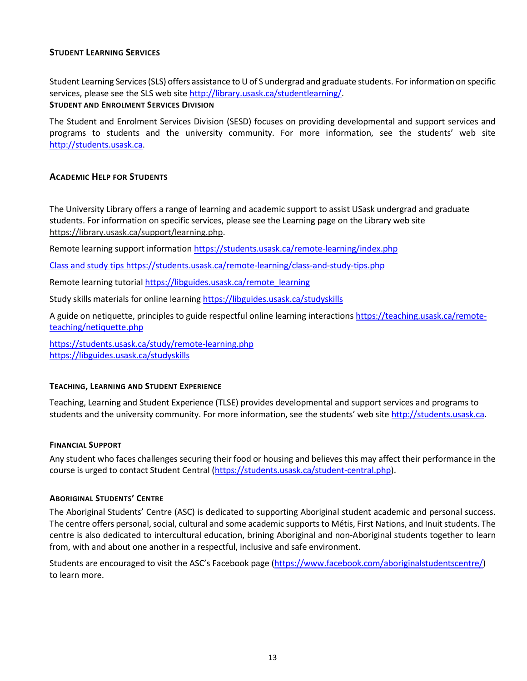# **STUDENT LEARNING SERVICES**

Student Learning Services (SLS) offers assistance to U of S undergrad and graduate students. For information on specific services, please see the SLS web site [http://library.usask.ca/studentlearning/.](http://library.usask.ca/studentlearning/)

## **STUDENT AND ENROLMENT SERVICES DIVISION**

The Student and Enrolment Services Division (SESD) focuses on providing developmental and support services and programs to students and the university community. For more information, see the students' web site [http://students.usask.ca.](http://students.usask.ca/)

# **ACADEMIC HELP FOR STUDENTS**

The University Library offers a range of learning and academic support to assist USask undergrad and graduate students. For information on specific services, please see the Learning page on the Library web site [https://library.usask.ca/support/learning.php.](https://library.usask.ca/support/learning.php)

Remote learning support informatio[n https://students.usask.ca/remote-learning/index.php](https://students.usask.ca/remote-learning/index.php)

Class and study tip[s https://students.usask.ca/remote-learning/class-and-study-tips.php](https://students.usask.ca/remote-learning/class-and-study-tips.php)

Remote learning tutoria[l https://libguides.usask.ca/remote\\_learning](https://libguides.usask.ca/remote_learning)

Study skills materials for online learnin[g https://libguides.usask.ca/studyskills](https://libguides.usask.ca/studyskills)

A guide on netiquette, principles to guide respectful online learning interaction[s https://teaching.usask.ca/remote](https://teaching.usask.ca/remote-teaching/netiquette.php)[teaching/netiquette.php](https://teaching.usask.ca/remote-teaching/netiquette.php)

<https://students.usask.ca/study/remote-learning.php> <https://libguides.usask.ca/studyskills>

# **TEACHING, LEARNING AND STUDENT EXPERIENCE**

Teaching, Learning and Student Experience (TLSE) provides developmental and support services and programs to students and the university community. For more information, see the students' web site [http://students.usask.ca.](http://students.usask.ca/)

## **FINANCIAL SUPPORT**

Any student who faces challenges securing their food or housing and believes this may affect their performance in the course is urged to contact Student Central [\(https://students.usask.ca/student-central.php\)](https://students.usask.ca/student-central.php).

## **ABORIGINAL STUDENTS' CENTRE**

The Aboriginal Students' Centre (ASC) is dedicated to supporting Aboriginal student academic and personal success. The centre offers personal, social, cultural and some academic supports to Métis, First Nations, and Inuit students. The centre is also dedicated to intercultural education, brining Aboriginal and non-Aboriginal students together to learn from, with and about one another in a respectful, inclusive and safe environment.

Students are encouraged to visit the ASC's Facebook page ([https://www.facebook.com/aboriginalstudentscentre/\)](https://www.facebook.com/aboriginalstudentscentre/) to learn more.